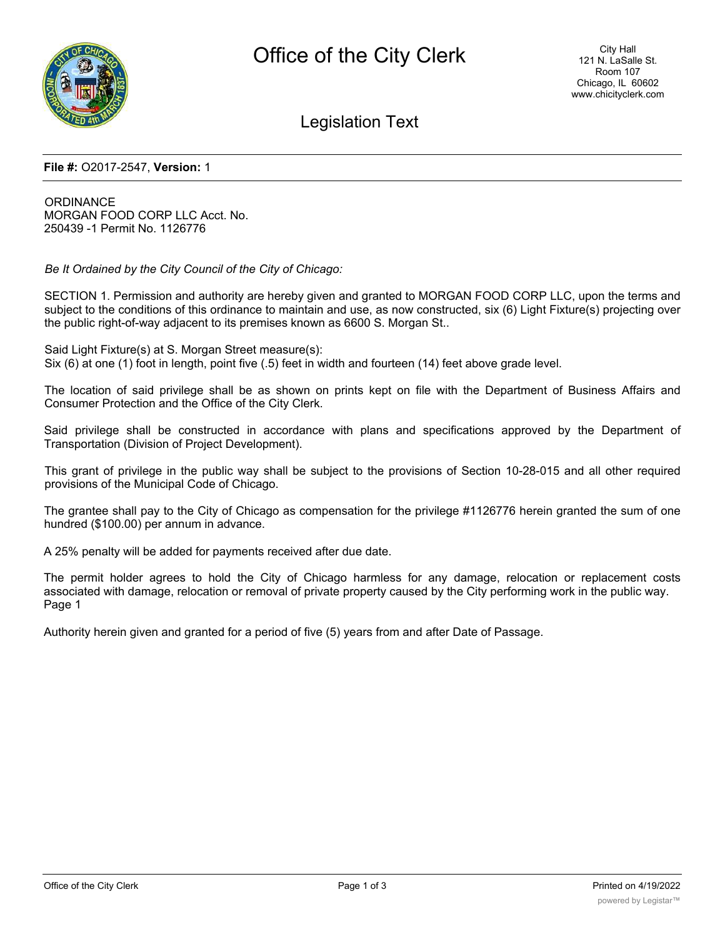

# Legislation Text

#### **File #:** O2017-2547, **Version:** 1

**ORDINANCE** MORGAN FOOD CORP LLC Acct. No. 250439 -1 Permit No. 1126776

*Be It Ordained by the City Council of the City of Chicago:*

SECTION 1. Permission and authority are hereby given and granted to MORGAN FOOD CORP LLC, upon the terms and subject to the conditions of this ordinance to maintain and use, as now constructed, six (6) Light Fixture(s) projecting over the public right-of-way adjacent to its premises known as 6600 S. Morgan St..

Said Light Fixture(s) at S. Morgan Street measure(s): Six (6) at one (1) foot in length, point five (.5) feet in width and fourteen (14) feet above grade level.

The location of said privilege shall be as shown on prints kept on file with the Department of Business Affairs and Consumer Protection and the Office of the City Clerk.

Said privilege shall be constructed in accordance with plans and specifications approved by the Department of Transportation (Division of Project Development).

This grant of privilege in the public way shall be subject to the provisions of Section 10-28-015 and all other required provisions of the Municipal Code of Chicago.

The grantee shall pay to the City of Chicago as compensation for the privilege #1126776 herein granted the sum of one hundred (\$100.00) per annum in advance.

A 25% penalty will be added for payments received after due date.

The permit holder agrees to hold the City of Chicago harmless for any damage, relocation or replacement costs associated with damage, relocation or removal of private property caused by the City performing work in the public way. Page 1

Authority herein given and granted for a period of five (5) years from and after Date of Passage.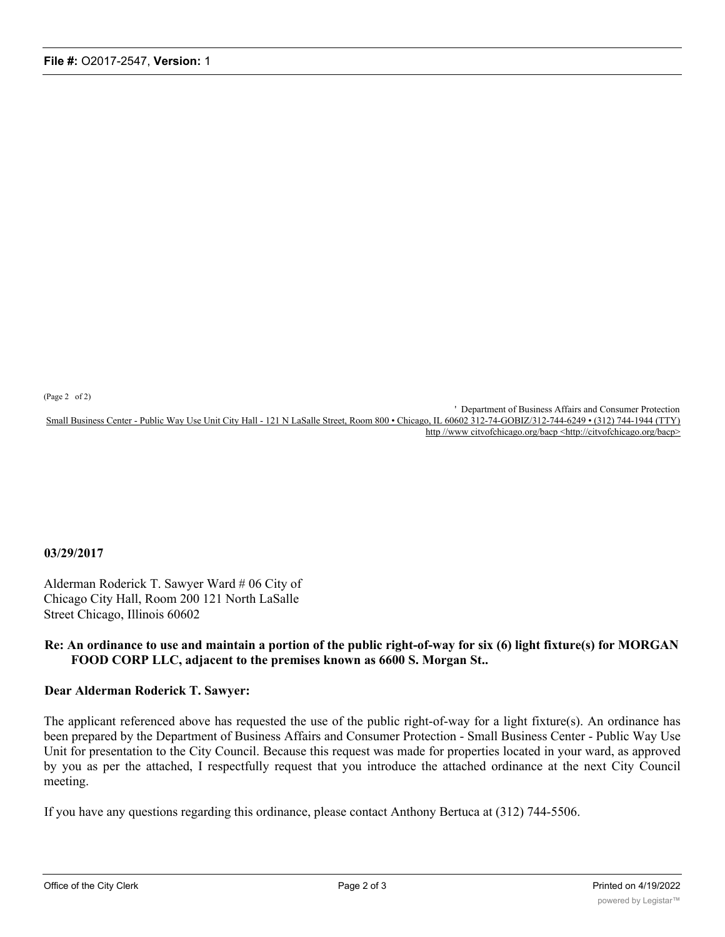(Page 2 of 2)

' Department of Business Affairs and Consumer Protection Small Business Center - Public Way Use Unit City Hall - 121 N LaSalle Street, Room 800 • Chicago, IL 60602 312-74-GOBIZ/312-744-6249 • (312) 744-1944 (TTY) http //www citvofchicago.org/bacp <http://citvofchicago.org/bacp>

### **03/29/2017**

Alderman Roderick T. Sawyer Ward # 06 City of Chicago City Hall, Room 200 121 North LaSalle Street Chicago, Illinois 60602

## **Re: An ordinance to use and maintain a portion of the public right-of-way for six (6) light fixture(s) for MORGAN FOOD CORP LLC, adjacent to the premises known as 6600 S. Morgan St..**

## **Dear Alderman Roderick T. Sawyer:**

The applicant referenced above has requested the use of the public right-of-way for a light fixture(s). An ordinance has been prepared by the Department of Business Affairs and Consumer Protection - Small Business Center - Public Way Use Unit for presentation to the City Council. Because this request was made for properties located in your ward, as approved by you as per the attached, I respectfully request that you introduce the attached ordinance at the next City Council meeting.

If you have any questions regarding this ordinance, please contact Anthony Bertuca at (312) 744-5506.